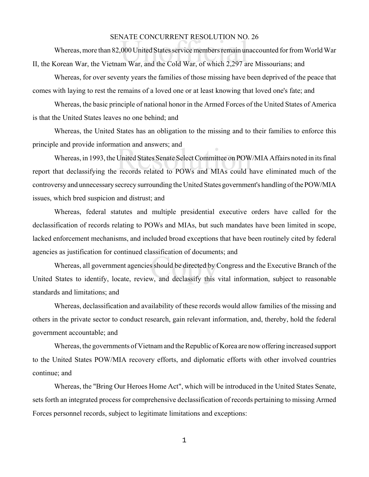## SENATE CONCURRENT RESOLUTION NO. 26

NATE CONCORRENT RESOLOTION NO.<br>000 United States service members remain un<br>m War, and the Cold War, of which 2,297 at Whereas, more than 82,000 United States service members remain unaccounted for from World War II, the Korean War, the Vietnam War, and the Cold War, of which 2,297 are Missourians; and

Whereas, for over seventy years the families of those missing have been deprived of the peace that comes with laying to rest the remains of a loved one or at least knowing that loved one's fate; and

Whereas, the basic principle of national honor in the Armed Forces of the United States of America is that the United States leaves no one behind; and

Whereas, the United States has an obligation to the missing and to their families to enforce this principle and provide information and answers; and

ation and answers, and<br>United States Senate Select Committee on POW<br>records related to POWs and MIAs could h Whereas, in 1993, the United States Senate Select Committee on POW/MIA Affairs noted in its final report that declassifying the records related to POWs and MIAs could have eliminated much of the controversy and unnecessary secrecy surrounding the United States government's handling of the POW/MIA issues, which bred suspicion and distrust; and

Whereas, federal statutes and multiple presidential executive orders have called for the declassification of records relating to POWs and MIAs, but such mandates have been limited in scope, lacked enforcement mechanisms, and included broad exceptions that have been routinely cited by federal agencies as justification for continued classification of documents; and

agencies as justification for continued classification of documents, and<br>Whereas, all government agencies should be directed by Congress and the Executive Branch of the<br>United States to identify, locate, review, and declas Whereas, all government agencies should be directed by Congress and the Executive Branch of the standards and limitations; and

Whereas, declassification and availability of these records would allow families of the missing and others in the private sector to conduct research, gain relevant information, and, thereby, hold the federal government accountable; and

Whereas, the governments of Vietnam and the Republic of Korea are now offering increased support to the United States POW/MIA recovery efforts, and diplomatic efforts with other involved countries continue; and

Whereas, the "Bring Our Heroes Home Act", which will be introduced in the United States Senate, sets forth an integrated process for comprehensive declassification of records pertaining to missing Armed Forces personnel records, subject to legitimate limitations and exceptions:

1